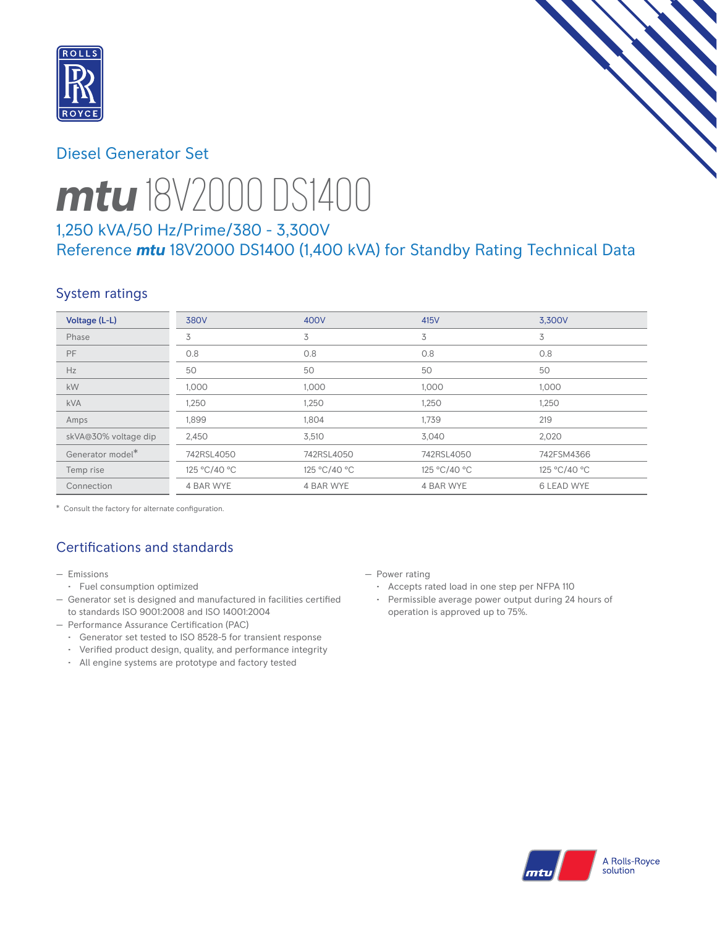

# Diesel Generator Set



# *mtu* 18V2000 DS1400

# 1,250 kVA/50 Hz/Prime/380 - 3,300V Reference *mtu* 18V2000 DS1400 (1,400 kVA) for Standby Rating Technical Data

# System ratings

| Voltage (L-L)        | 380V         | 400V         | 415V         | 3,300V            |
|----------------------|--------------|--------------|--------------|-------------------|
| Phase                | 3            | 3            | 3            | 3                 |
| PF                   | 0.8          | 0.8          | 0.8          | 0.8               |
| Hz                   | 50           | 50           | 50           | 50                |
| <b>kW</b>            | 1,000        | 1,000        | 1,000        | 1,000             |
| <b>kVA</b>           | 1,250        | 1,250        | 1,250        | 1,250             |
| Amps                 | 1,899        | 1,804        | 1,739        | 219               |
| skVA@30% voltage dip | 2,450        | 3,510        | 3,040        | 2,020             |
| Generator model*     | 742RSL4050   | 742RSL4050   | 742RSL4050   | 742FSM4366        |
| Temp rise            | 125 °C/40 °C | 125 °C/40 °C | 125 °C/40 °C | 125 °C/40 °C      |
| Connection           | 4 BAR WYE    | 4 BAR WYE    | 4 BAR WYE    | <b>6 LEAD WYE</b> |

\* Consult the factory for alternate configuration.

# Certifications and standards

- Emissions
	- Fuel consumption optimized
- Generator set is designed and manufactured in facilities certified to standards ISO 9001:2008 and ISO 14001:2004
- Performance Assurance Certification (PAC)
	- Generator set tested to ISO 8528-5 for transient response
	- Verified product design, quality, and performance integrity
	- All engine systems are prototype and factory tested
- Power rating
	- Accepts rated load in one step per NFPA 110
	- Permissible average power output during 24 hours of operation is approved up to 75%.

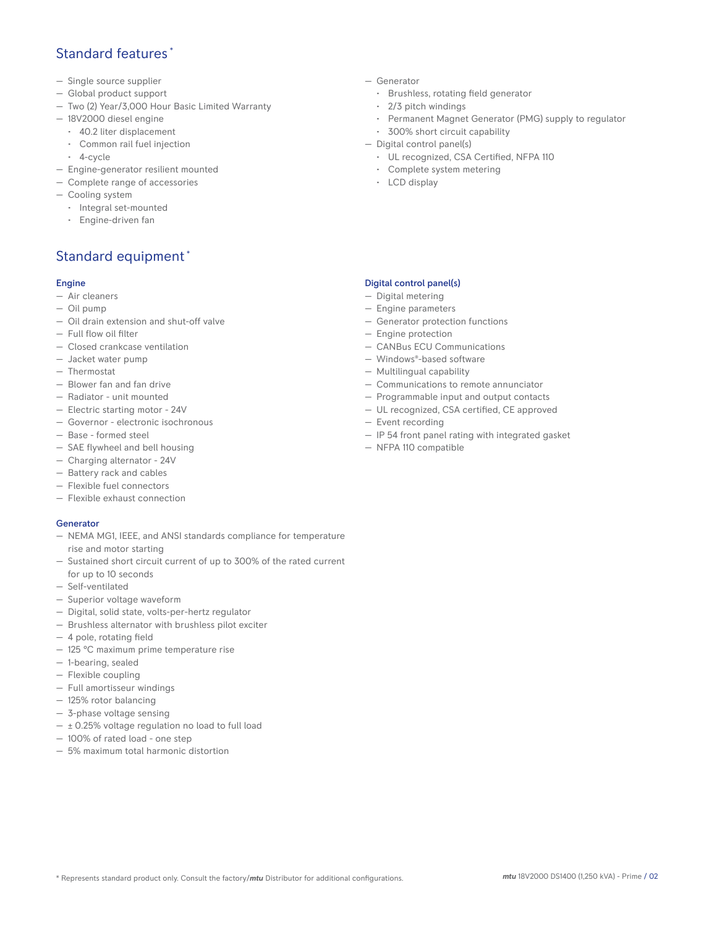## Standard features \*

- Single source supplier
- Global product support
- Two (2) Year/3,000 Hour Basic Limited Warranty
- 18V2000 diesel engine
	- 40.2 liter displacement
	- Common rail fuel injection
	- 4-cycle
- Engine-generator resilient mounted
- Complete range of accessories
- Cooling system
- Integral set-mounted
	- Engine-driven fan

## Standard equipment \*

#### Engine

- Air cleaners
- Oil pump
- Oil drain extension and shut-off valve
- Full flow oil filter
- Closed crankcase ventilation
- Jacket water pump
- Thermostat
- Blower fan and fan drive
- Radiator unit mounted
- Electric starting motor 24V
- Governor electronic isochronous
- Base formed steel
- SAE flywheel and bell housing
- Charging alternator 24V
- Battery rack and cables
- Flexible fuel connectors
- Flexible exhaust connection

#### Generator

- NEMA MG1, IEEE, and ANSI standards compliance for temperature rise and motor starting
- Sustained short circuit current of up to 300% of the rated current for up to 10 seconds
- Self-ventilated
- Superior voltage waveform
- Digital, solid state, volts-per-hertz regulator
- Brushless alternator with brushless pilot exciter
- 4 pole, rotating field
- 125 °C maximum prime temperature rise
- 1-bearing, sealed
- Flexible coupling
- Full amortisseur windings
- 125% rotor balancing
- 3-phase voltage sensing
- $\pm$  0.25% voltage regulation no load to full load
- 100% of rated load one step
- 5% maximum total harmonic distortion
- Generator
	- Brushless, rotating field generator
	- 2/3 pitch windings
	- Permanent Magnet Generator (PMG) supply to regulator
- 300% short circuit capability
- Digital control panel(s)
	- UL recognized, CSA Certified, NFPA 110
	- Complete system metering
	- LCD display

### Digital control panel(s)

- Digital metering
- Engine parameters
- Generator protection functions
- Engine protection
- CANBus ECU Communications
- Windows®-based software
- Multilingual capability
- Communications to remote annunciator
- Programmable input and output contacts
- UL recognized, CSA certified, CE approved
- Event recording
- IP 54 front panel rating with integrated gasket
- NFPA 110 compatible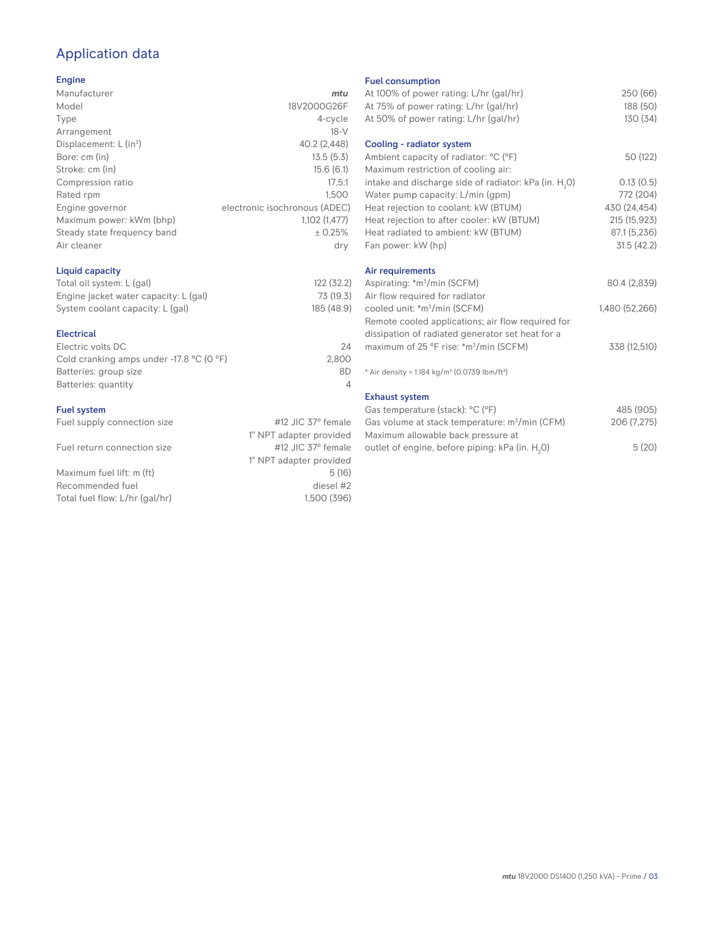# Application data

#### Engine

| Manufacturer                         | mtu                           |
|--------------------------------------|-------------------------------|
| Model                                | 18V2000G26F                   |
| Type                                 | 4-cycle                       |
| Arrangement                          | $18-V$                        |
| Displacement: $L$ (in <sup>3</sup> ) | 40.2 (2,448)                  |
| Bore: cm (in)                        | 13.5(5.3)                     |
| Stroke: cm (in)                      | 15.6(6.1)                     |
| Compression ratio                    | 17.5:1                        |
| Rated rpm                            | 1.500                         |
| Engine governor                      | electronic isochronous (ADEC) |
| Maximum power: kWm (bhp)             | 1,102 (1,477)                 |
| Steady state frequency band          | ± 0.25%                       |
| Air cleaner                          | dry                           |
|                                      |                               |

## Liquid capacity

| Total oil system: L (gal)             | 122 (32.2) |
|---------------------------------------|------------|
| Engine jacket water capacity: L (gal) | 73 (19.3)  |
| System coolant capacity: L (gal)      | 185 (48.9) |

#### Electrical

| Electric volts DC                                            | 24    |
|--------------------------------------------------------------|-------|
| Cold cranking amps under -17.8 $^{\circ}$ C (O $^{\circ}$ F) | 2.800 |
| Batteries: group size                                        | 8D    |
| Batteries: quantity                                          |       |
|                                                              |       |

### Fuel system

| Fuel supply connection size | #12 JIC $37^\circ$ female |
|-----------------------------|---------------------------|
|                             | 1" NPT adapter provided   |
| Fuel return connection size | #12 JIC $37^\circ$ female |
|                             | 1" NPT adapter provided   |
| Maximum fuel lift: m (ft)   | 5(16)                     |

Recommended fuel diesel #2<br>Total fuel flow: L/hr (gal/hr) diesel #2<br>1,500 (396) Total fuel flow: L/hr (gal/hr)

Fuel consumption

| r der consumption                                                     |                |
|-----------------------------------------------------------------------|----------------|
| At 100% of power rating: L/hr (gal/hr)                                | 250 (66)       |
| At 75% of power rating: L/hr (gal/hr)                                 | 188 (50)       |
| At 50% of power rating: L/hr (gal/hr)                                 | 130 (34)       |
| Cooling - radiator system                                             |                |
| Ambient capacity of radiator: °C (°F)                                 | 50 (122)       |
| Maximum restriction of cooling air:                                   |                |
| intake and discharge side of radiator: kPa (in. H <sub>2</sub> 0)     | 0.13(0.5)      |
| Water pump capacity: L/min (gpm)                                      | 772 (204)      |
| Heat rejection to coolant: kW (BTUM)                                  | 430 (24,454)   |
| Heat rejection to after cooler: kW (BTUM)                             | 215 (15,923)   |
| Heat radiated to ambient: kW (BTUM)                                   | 87.1 (5,236)   |
| Fan power: kW (hp)                                                    | 31.5(42.2)     |
| Air requirements                                                      |                |
| Aspirating: *m <sup>3</sup> /min (SCFM)                               | 80.4 (2,839)   |
| Air flow required for radiator                                        |                |
| cooled unit: *m <sup>3</sup> /min (SCFM)                              | 1,480 (52,266) |
| Remote cooled applications; air flow required for                     |                |
| dissipation of radiated generator set heat for a                      |                |
| maximum of 25 °F rise: *m <sup>3</sup> /min (SCFM)                    | 338 (12,510)   |
| * Air density = 1.184 kg/m <sup>3</sup> (0.0739 lbm/ft <sup>3</sup> ) |                |
| <b>Exhaust system</b>                                                 |                |
| Gas temperature (stack): °C (°F)                                      | 485 (905)      |
| Gas volume at stack temperature: m <sup>3</sup> /min (CFM)            | 206 (7,275)    |
| Maximum allowable back pressure at                                    |                |

outlet of engine, before piping: kPa (in.  $H_2O$ )

0) 5 (20)